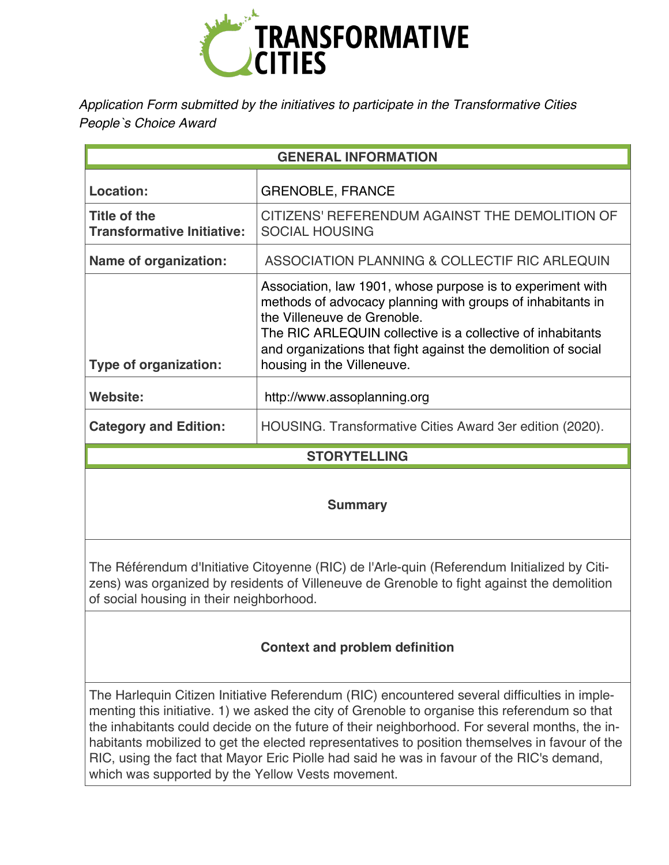

*Application Form submitted by the initiatives to participate in the Transformative Cities People`s Choice Award* 

| <b>GENERAL INFORMATION</b>                               |                                                                                                                                                                                                                                                                                                                      |
|----------------------------------------------------------|----------------------------------------------------------------------------------------------------------------------------------------------------------------------------------------------------------------------------------------------------------------------------------------------------------------------|
| Location:                                                | <b>GRENOBLE, FRANCE</b>                                                                                                                                                                                                                                                                                              |
| <b>Title of the</b><br><b>Transformative Initiative:</b> | CITIZENS' REFERENDUM AGAINST THE DEMOLITION OF<br><b>SOCIAL HOUSING</b>                                                                                                                                                                                                                                              |
| Name of organization:                                    | ASSOCIATION PLANNING & COLLECTIF RIC ARLEQUIN                                                                                                                                                                                                                                                                        |
| <b>Type of organization:</b>                             | Association, law 1901, whose purpose is to experiment with<br>methods of advocacy planning with groups of inhabitants in<br>the Villeneuve de Grenoble.<br>The RIC ARLEQUIN collective is a collective of inhabitants<br>and organizations that fight against the demolition of social<br>housing in the Villeneuve. |
| Website:                                                 | http://www.assoplanning.org                                                                                                                                                                                                                                                                                          |
| <b>Category and Edition:</b>                             | HOUSING. Transformative Cities Award 3er edition (2020).                                                                                                                                                                                                                                                             |
| <b>STORYTELLING</b>                                      |                                                                                                                                                                                                                                                                                                                      |
|                                                          |                                                                                                                                                                                                                                                                                                                      |

**Summary**

The Référendum d'Initiative Citoyenne (RIC) de l'Arle-quin (Referendum Initialized by Citizens) was organized by residents of Villeneuve de Grenoble to fight against the demolition of social housing in their neighborhood.

# **Context and problem definition**

The Harlequin Citizen Initiative Referendum (RIC) encountered several difficulties in implementing this initiative. 1) we asked the city of Grenoble to organise this referendum so that the inhabitants could decide on the future of their neighborhood. For several months, the inhabitants mobilized to get the elected representatives to position themselves in favour of the RIC, using the fact that Mayor Eric Piolle had said he was in favour of the RIC's demand, which was supported by the Yellow Vests movement.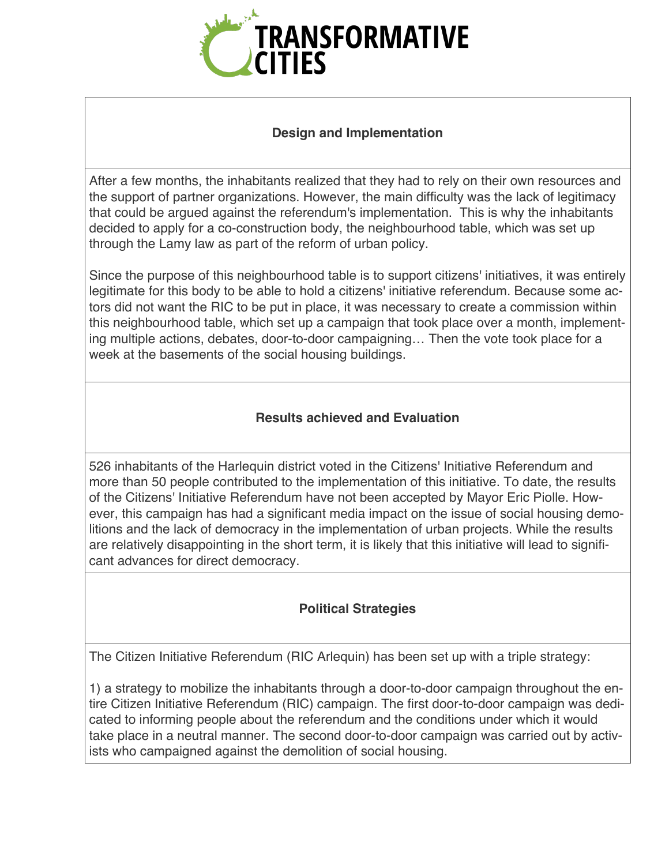

### **Design and Implementation**

After a few months, the inhabitants realized that they had to rely on their own resources and the support of partner organizations. However, the main difficulty was the lack of legitimacy that could be argued against the referendum's implementation. This is why the inhabitants decided to apply for a co-construction body, the neighbourhood table, which was set up through the Lamy law as part of the reform of urban policy.

Since the purpose of this neighbourhood table is to support citizens' initiatives, it was entirely legitimate for this body to be able to hold a citizens' initiative referendum. Because some actors did not want the RIC to be put in place, it was necessary to create a commission within this neighbourhood table, which set up a campaign that took place over a month, implementing multiple actions, debates, door-to-door campaigning… Then the vote took place for a week at the basements of the social housing buildings.

### **Results achieved and Evaluation**

526 inhabitants of the Harlequin district voted in the Citizens' Initiative Referendum and more than 50 people contributed to the implementation of this initiative. To date, the results of the Citizens' Initiative Referendum have not been accepted by Mayor Eric Piolle. However, this campaign has had a significant media impact on the issue of social housing demolitions and the lack of democracy in the implementation of urban projects. While the results are relatively disappointing in the short term, it is likely that this initiative will lead to significant advances for direct democracy.

### **Political Strategies**

The Citizen Initiative Referendum (RIC Arlequin) has been set up with a triple strategy:

1) a strategy to mobilize the inhabitants through a door-to-door campaign throughout the entire Citizen Initiative Referendum (RIC) campaign. The first door-to-door campaign was dedicated to informing people about the referendum and the conditions under which it would take place in a neutral manner. The second door-to-door campaign was carried out by activists who campaigned against the demolition of social housing.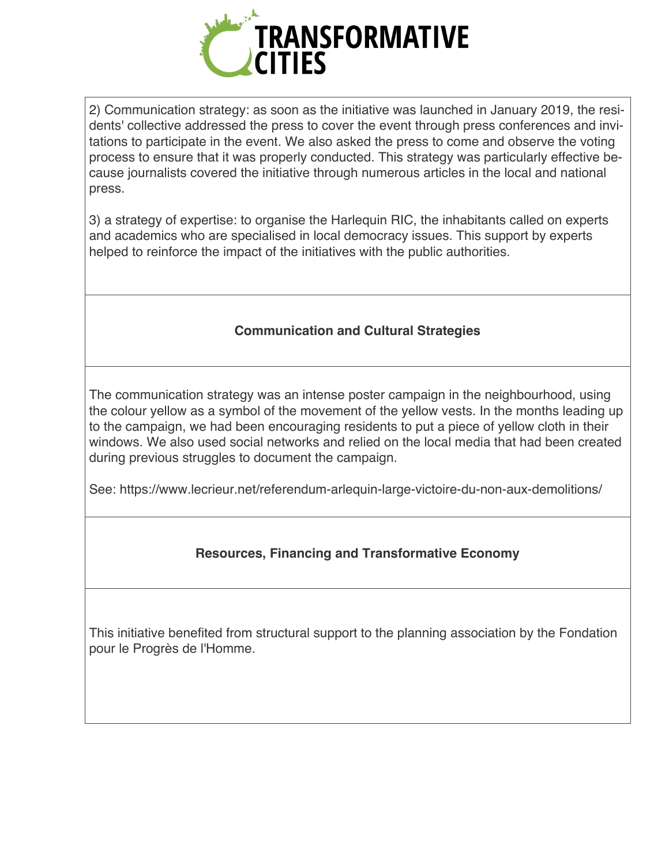

2) Communication strategy: as soon as the initiative was launched in January 2019, the residents' collective addressed the press to cover the event through press conferences and invitations to participate in the event. We also asked the press to come and observe the voting process to ensure that it was properly conducted. This strategy was particularly effective because journalists covered the initiative through numerous articles in the local and national press.

3) a strategy of expertise: to organise the Harlequin RIC, the inhabitants called on experts and academics who are specialised in local democracy issues. This support by experts helped to reinforce the impact of the initiatives with the public authorities.

# **Communication and Cultural Strategies**

The communication strategy was an intense poster campaign in the neighbourhood, using the colour yellow as a symbol of the movement of the yellow vests. In the months leading up to the campaign, we had been encouraging residents to put a piece of yellow cloth in their windows. We also used social networks and relied on the local media that had been created during previous struggles to document the campaign.

See: https://www.lecrieur.net/referendum-arlequin-large-victoire-du-non-aux-demolitions/

# **Resources, Financing and Transformative Economy**

This initiative benefited from structural support to the planning association by the Fondation pour le Progrès de l'Homme.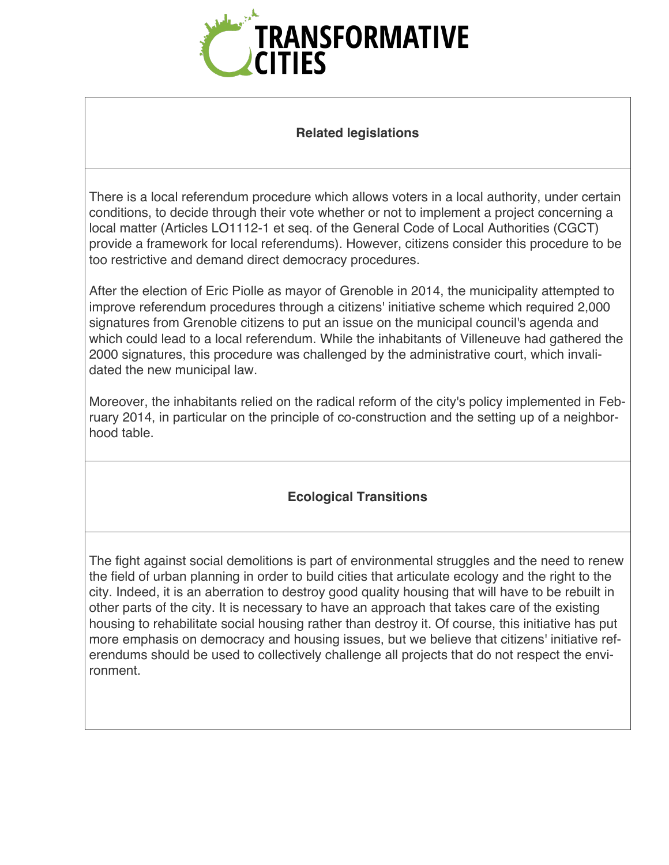

#### **Related legislations**

There is a local referendum procedure which allows voters in a local authority, under certain conditions, to decide through their vote whether or not to implement a project concerning a local matter (Articles LO1112-1 et seq. of the General Code of Local Authorities (CGCT) provide a framework for local referendums). However, citizens consider this procedure to be too restrictive and demand direct democracy procedures.

After the election of Eric Piolle as mayor of Grenoble in 2014, the municipality attempted to improve referendum procedures through a citizens' initiative scheme which required 2,000 signatures from Grenoble citizens to put an issue on the municipal council's agenda and which could lead to a local referendum. While the inhabitants of Villeneuve had gathered the 2000 signatures, this procedure was challenged by the administrative court, which invalidated the new municipal law.

Moreover, the inhabitants relied on the radical reform of the city's policy implemented in February 2014, in particular on the principle of co-construction and the setting up of a neighborhood table.

# **Ecological Transitions**

The fight against social demolitions is part of environmental struggles and the need to renew the field of urban planning in order to build cities that articulate ecology and the right to the city. Indeed, it is an aberration to destroy good quality housing that will have to be rebuilt in other parts of the city. It is necessary to have an approach that takes care of the existing housing to rehabilitate social housing rather than destroy it. Of course, this initiative has put more emphasis on democracy and housing issues, but we believe that citizens' initiative referendums should be used to collectively challenge all projects that do not respect the environment.